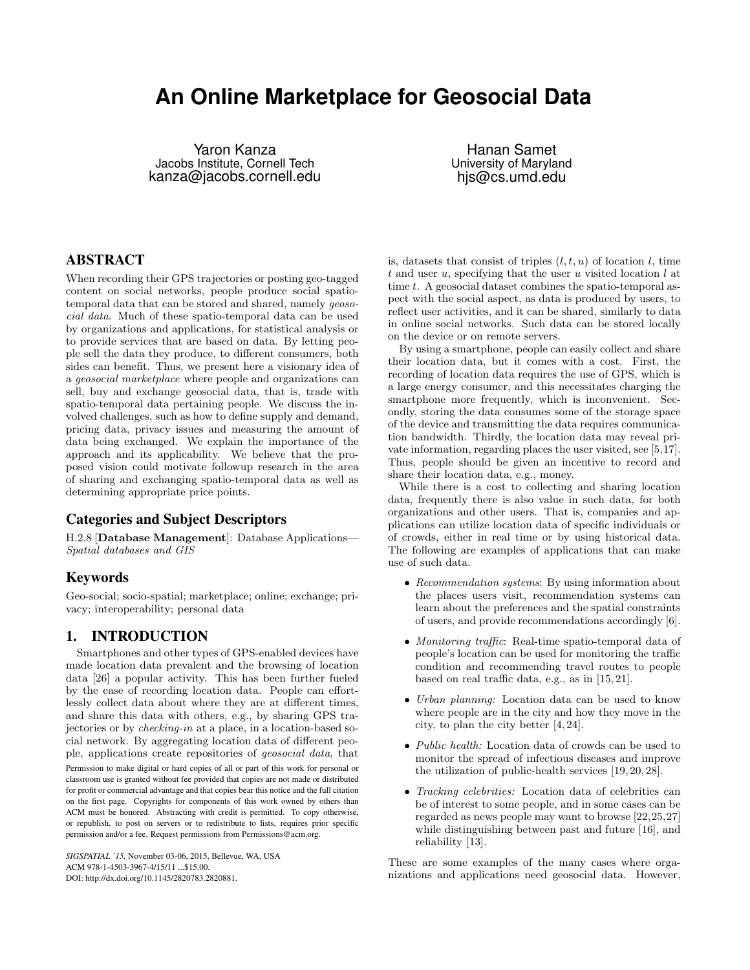# **An Online Marketplace for Geosocial Data**

Yaron Kanza Jacobs Institute, Cornell Tech kanza@jacobs.cornell.edu

Hanan Samet University of Maryland hjs@cs.umd.edu

# ABSTRACT

When recording their GPS trajectories or posting geo-tagged content on social networks, people produce social spatiotemporal data that can be stored and shared, namely geosocial data. Much of these spatio-temporal data can be used by organizations and applications, for statistical analysis or to provide services that are based on data. By letting people sell the data they produce, to different consumers, both sides can benefit. Thus, we present here a visionary idea of a geosocial marketplace where people and organizations can sell, buy and exchange geosocial data, that is, trade with spatio-temporal data pertaining people. We discuss the involved challenges, such as how to define supply and demand, pricing data, privacy issues and measuring the amount of data being exchanged. We explain the importance of the approach and its applicability. We believe that the proposed vision could motivate followup research in the area of sharing and exchanging spatio-temporal data as well as determining appropriate price points.

## Categories and Subject Descriptors

H.2.8 [Database Management]: Database Applications— Spatial databases and GIS

# Keywords

Geo-social; socio-spatial; marketplace; online; exchange; privacy; interoperability; personal data

## 1. INTRODUCTION

Smartphones and other types of GPS-enabled devices have made location data prevalent and the browsing of location data [26] a popular activity. This has been further fueled by the ease of recording location data. People can effortlessly collect data about where they are at different times, and share this data with others, e.g., by sharing GPS trajectories or by checking-in at a place, in a location-based social network. By aggregating location data of different people, applications create repositories of geosocial data, that

Permission to make digital or hard copies of all or part of this work for personal or classroom use is granted without fee provided that copies are not made or distributed for profit or commercial advantage and that copies bear this notice and the full citation on the first page. Copyrights for components of this work owned by others than ACM must be honored. Abstracting with credit is permitted. To copy otherwise, or republish, to post on servers or to redistribute to lists, requires prior specific permission and/or a fee. Request permissions from Permissions@acm.org.

*SIGSPATIAL '15,* November 03-06, 2015, Bellevue, WA, USA ACM 978-1-4503-3967-4/15/11 ...\$15.00. DOI: http://dx.doi.org/10.1145/2820783.2820881.

is, datasets that consist of triples  $(l, t, u)$  of location l, time t and user u, specifying that the user u visited location  $l$  at time t. A geosocial dataset combines the spatio-temporal aspect with the social aspect, as data is produced by users, to reflect user activities, and it can be shared, similarly to data in online social networks. Such data can be stored locally on the device or on remote servers.

By using a smartphone, people can easily collect and share their location data, but it comes with a cost. First, the recording of location data requires the use of GPS, which is a large energy consumer, and this necessitates charging the smartphone more frequently, which is inconvenient. Secondly, storing the data consumes some of the storage space of the device and transmitting the data requires communication bandwidth. Thirdly, the location data may reveal private information, regarding places the user visited, see [5,17]. Thus, people should be given an incentive to record and share their location data, e.g., money.

While there is a cost to collecting and sharing location data, frequently there is also value in such data, for both organizations and other users. That is, companies and applications can utilize location data of specific individuals or of crowds, either in real time or by using historical data. The following are examples of applications that can make use of such data.

- Recommendation systems: By using information about the places users visit, recommendation systems can learn about the preferences and the spatial constraints of users, and provide recommendations accordingly [6].
- Monitoring traffic: Real-time spatio-temporal data of people's location can be used for monitoring the traffic condition and recommending travel routes to people based on real traffic data, e.g., as in [15, 21].
- Urban planning: Location data can be used to know where people are in the city and how they move in the city, to plan the city better [4, 24].
- *Public health:* Location data of crowds can be used to monitor the spread of infectious diseases and improve the utilization of public-health services [19, 20, 28].
- *Tracking celebrities:* Location data of celebrities can be of interest to some people, and in some cases can be regarded as news people may want to browse [22,25,27] while distinguishing between past and future [16], and reliability [13].

These are some examples of the many cases where organizations and applications need geosocial data. However,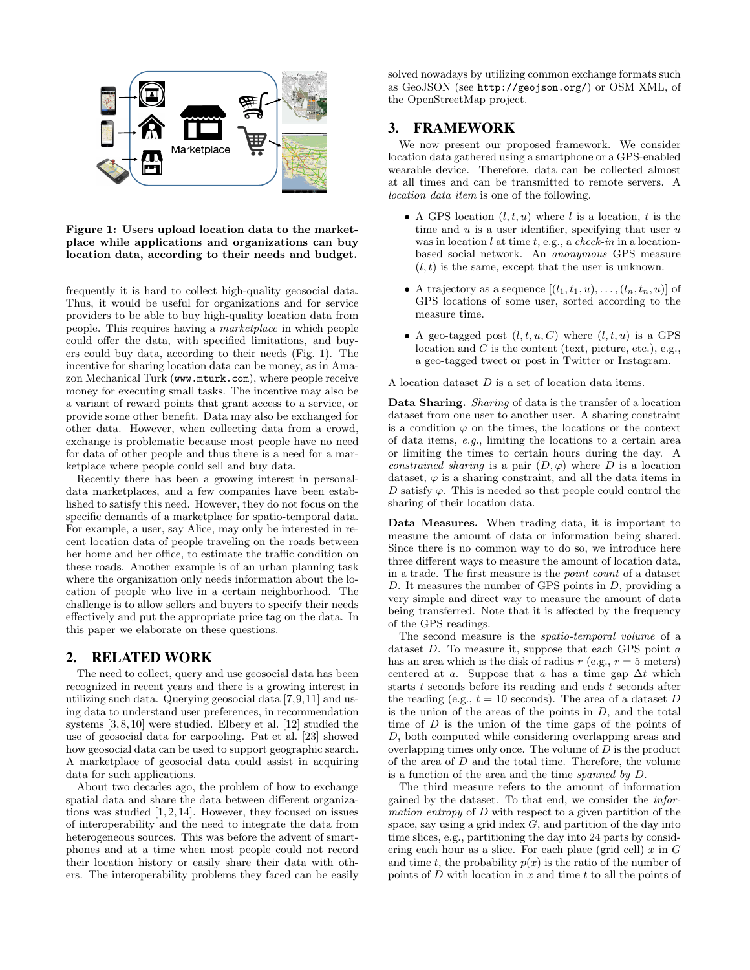

Figure 1: Users upload location data to the marketplace while applications and organizations can buy location data, according to their needs and budget.

frequently it is hard to collect high-quality geosocial data. Thus, it would be useful for organizations and for service providers to be able to buy high-quality location data from people. This requires having a marketplace in which people could offer the data, with specified limitations, and buyers could buy data, according to their needs (Fig. 1). The incentive for sharing location data can be money, as in Amazon Mechanical Turk (www.mturk.com), where people receive money for executing small tasks. The incentive may also be a variant of reward points that grant access to a service, or provide some other benefit. Data may also be exchanged for other data. However, when collecting data from a crowd, exchange is problematic because most people have no need for data of other people and thus there is a need for a marketplace where people could sell and buy data.

Recently there has been a growing interest in personaldata marketplaces, and a few companies have been established to satisfy this need. However, they do not focus on the specific demands of a marketplace for spatio-temporal data. For example, a user, say Alice, may only be interested in recent location data of people traveling on the roads between her home and her office, to estimate the traffic condition on these roads. Another example is of an urban planning task where the organization only needs information about the location of people who live in a certain neighborhood. The challenge is to allow sellers and buyers to specify their needs effectively and put the appropriate price tag on the data. In this paper we elaborate on these questions.

## 2. RELATED WORK

The need to collect, query and use geosocial data has been recognized in recent years and there is a growing interest in utilizing such data. Querying geosocial data [7,9,11] and using data to understand user preferences, in recommendation systems [3, 8, 10] were studied. Elbery et al. [12] studied the use of geosocial data for carpooling. Pat et al. [23] showed how geosocial data can be used to support geographic search. A marketplace of geosocial data could assist in acquiring data for such applications.

About two decades ago, the problem of how to exchange spatial data and share the data between different organizations was studied  $[1, 2, 14]$ . However, they focused on issues of interoperability and the need to integrate the data from heterogeneous sources. This was before the advent of smartphones and at a time when most people could not record their location history or easily share their data with others. The interoperability problems they faced can be easily

solved nowadays by utilizing common exchange formats such as GeoJSON (see http://geojson.org/) or OSM XML, of the OpenStreetMap project.

## 3. FRAMEWORK

We now present our proposed framework. We consider location data gathered using a smartphone or a GPS-enabled wearable device. Therefore, data can be collected almost at all times and can be transmitted to remote servers. A location data item is one of the following.

- A GPS location  $(l, t, u)$  where l is a location, t is the time and  $u$  is a user identifier, specifying that user  $u$ was in location  $l$  at time  $t$ , e.g., a *check-in* in a locationbased social network. An anonymous GPS measure  $(l, t)$  is the same, except that the user is unknown.
- A trajectory as a sequence  $[(l_1, t_1, u), \ldots, (l_n, t_n, u)]$  of GPS locations of some user, sorted according to the measure time.
- A geo-tagged post  $(l, t, u, C)$  where  $(l, t, u)$  is a GPS location and  $C$  is the content (text, picture, etc.), e.g., a geo-tagged tweet or post in Twitter or Instagram.

A location dataset D is a set of location data items.

Data Sharing. Sharing of data is the transfer of a location dataset from one user to another user. A sharing constraint is a condition  $\varphi$  on the times, the locations or the context of data items, e.g., limiting the locations to a certain area or limiting the times to certain hours during the day. A constrained sharing is a pair  $(D, \varphi)$  where D is a location dataset,  $\varphi$  is a sharing constraint, and all the data items in  $D$  satisfy  $\varphi$ . This is needed so that people could control the sharing of their location data.

Data Measures. When trading data, it is important to measure the amount of data or information being shared. Since there is no common way to do so, we introduce here three different ways to measure the amount of location data, in a trade. The first measure is the point count of a dataset D. It measures the number of GPS points in D, providing a very simple and direct way to measure the amount of data being transferred. Note that it is affected by the frequency of the GPS readings.

The second measure is the spatio-temporal volume of a dataset  $D$ . To measure it, suppose that each GPS point  $a$ has an area which is the disk of radius  $r$  (e.g.,  $r = 5$  meters) centered at a. Suppose that a has a time gap  $\Delta t$  which starts  $t$  seconds before its reading and ends  $t$  seconds after the reading (e.g.,  $t = 10$  seconds). The area of a dataset D is the union of the areas of the points in  $D$ , and the total time of D is the union of the time gaps of the points of D, both computed while considering overlapping areas and overlapping times only once. The volume of D is the product of the area of D and the total time. Therefore, the volume is a function of the area and the time spanned by D.

The third measure refers to the amount of information gained by the dataset. To that end, we consider the information entropy of D with respect to a given partition of the space, say using a grid index  $G$ , and partition of the day into time slices, e.g., partitioning the day into 24 parts by considering each hour as a slice. For each place (grid cell)  $x$  in  $G$ and time t, the probability  $p(x)$  is the ratio of the number of points of  $D$  with location in  $x$  and time  $t$  to all the points of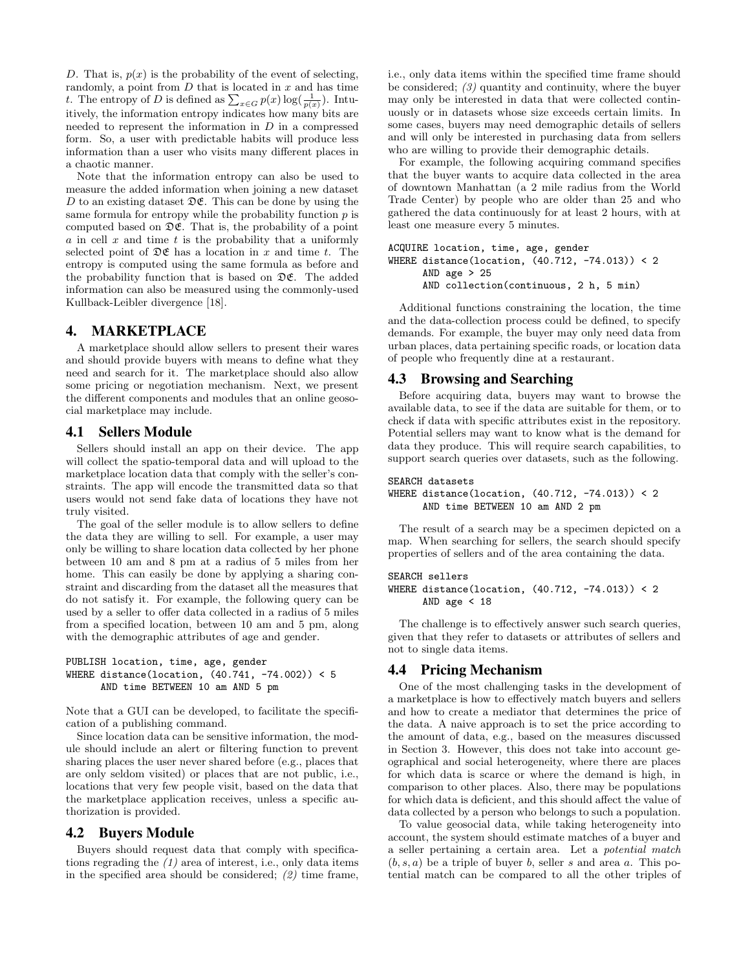D. That is,  $p(x)$  is the probability of the event of selecting, randomly, a point from  $D$  that is located in  $x$  and has time t. The entropy of D is defined as  $\sum_{x \in G} p(x) \log(\frac{1}{p(x)})$ . Intuitively, the information entropy indicates how many bits are needed to represent the information in D in a compressed form. So, a user with predictable habits will produce less information than a user who visits many different places in a chaotic manner.

Note that the information entropy can also be used to measure the added information when joining a new dataset  $D$  to an existing dataset  $\mathfrak{D}\mathfrak{E}$ . This can be done by using the same formula for entropy while the probability function  $p$  is computed based on  $\mathfrak{D}\mathfrak{E}$ . That is, the probability of a point  $a$  in cell  $x$  and time  $t$  is the probability that a uniformly selected point of  $\mathfrak{D}\mathfrak{E}$  has a location in x and time t. The entropy is computed using the same formula as before and the probability function that is based on  $\mathfrak{D}\mathfrak{E}$ . The added information can also be measured using the commonly-used Kullback-Leibler divergence [18].

## 4. MARKETPLACE

A marketplace should allow sellers to present their wares and should provide buyers with means to define what they need and search for it. The marketplace should also allow some pricing or negotiation mechanism. Next, we present the different components and modules that an online geosocial marketplace may include.

#### 4.1 Sellers Module

Sellers should install an app on their device. The app will collect the spatio-temporal data and will upload to the marketplace location data that comply with the seller's constraints. The app will encode the transmitted data so that users would not send fake data of locations they have not truly visited.

The goal of the seller module is to allow sellers to define the data they are willing to sell. For example, a user may only be willing to share location data collected by her phone between 10 am and 8 pm at a radius of 5 miles from her home. This can easily be done by applying a sharing constraint and discarding from the dataset all the measures that do not satisfy it. For example, the following query can be used by a seller to offer data collected in a radius of 5 miles from a specified location, between 10 am and 5 pm, along with the demographic attributes of age and gender.

```
PUBLISH location, time, age, gender
WHERE distance(location, (40.741, -74.002)) < 5
      AND time BETWEEN 10 am AND 5 pm
```
Note that a GUI can be developed, to facilitate the specification of a publishing command.

Since location data can be sensitive information, the module should include an alert or filtering function to prevent sharing places the user never shared before (e.g., places that are only seldom visited) or places that are not public, i.e., locations that very few people visit, based on the data that the marketplace application receives, unless a specific authorization is provided.

## 4.2 Buyers Module

Buyers should request data that comply with specifications regrading the  $(1)$  area of interest, i.e., only data items in the specified area should be considered;  $(2)$  time frame,

i.e., only data items within the specified time frame should be considered;  $(3)$  quantity and continuity, where the buyer may only be interested in data that were collected continuously or in datasets whose size exceeds certain limits. In some cases, buyers may need demographic details of sellers and will only be interested in purchasing data from sellers who are willing to provide their demographic details.

For example, the following acquiring command specifies that the buyer wants to acquire data collected in the area of downtown Manhattan (a 2 mile radius from the World Trade Center) by people who are older than 25 and who gathered the data continuously for at least 2 hours, with at least one measure every 5 minutes.

```
ACQUIRE location, time, age, gender
WHERE distance(location, (40.712, -74.013)) < 2
      AND age > 25AND collection(continuous, 2 h, 5 min)
```
Additional functions constraining the location, the time and the data-collection process could be defined, to specify demands. For example, the buyer may only need data from urban places, data pertaining specific roads, or location data of people who frequently dine at a restaurant.

### 4.3 Browsing and Searching

Before acquiring data, buyers may want to browse the available data, to see if the data are suitable for them, or to check if data with specific attributes exist in the repository. Potential sellers may want to know what is the demand for data they produce. This will require search capabilities, to support search queries over datasets, such as the following.

#### SEARCH datasets

```
WHERE distance(location, (40.712, -74.013)) < 2
      AND time BETWEEN 10 am AND 2 pm
```
The result of a search may be a specimen depicted on a map. When searching for sellers, the search should specify properties of sellers and of the area containing the data.

#### SEARCH sellers

```
WHERE distance(location, (40.712, -74.013)) < 2
      AND age < 18
```
The challenge is to effectively answer such search queries, given that they refer to datasets or attributes of sellers and not to single data items.

#### 4.4 Pricing Mechanism

One of the most challenging tasks in the development of a marketplace is how to effectively match buyers and sellers and how to create a mediator that determines the price of the data. A naive approach is to set the price according to the amount of data, e.g., based on the measures discussed in Section 3. However, this does not take into account geographical and social heterogeneity, where there are places for which data is scarce or where the demand is high, in comparison to other places. Also, there may be populations for which data is deficient, and this should affect the value of data collected by a person who belongs to such a population.

To value geosocial data, while taking heterogeneity into account, the system should estimate matches of a buyer and a seller pertaining a certain area. Let a potential match  $(b, s, a)$  be a triple of buyer b, seller s and area a. This potential match can be compared to all the other triples of